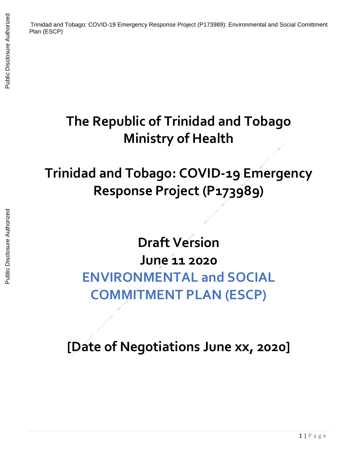## **The Republic of Trinidad and Tobago Ministry of Health**

## **Trinidad and Tobago: COVID-19 Emergency Response Project (P173989)**

## **Draft Version June 11 2020 ENVIRONMENTAL and SOCIAL COMMITMENT PLAN (ESCP)**

**[Date of Negotiations June xx, 2020]**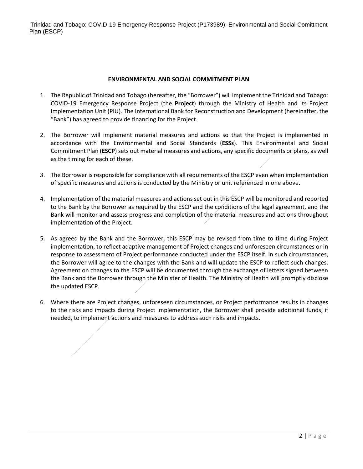Trinidad and Tobago: COVID-19 Emergency Response Project (P173989): Environmental and Social Comittment Plan (ESCP)

## **ENVIRONMENTAL AND SOCIAL COMMITMENT PLAN**

- 1. The Republic of Trinidad and Tobago (hereafter, the "Borrower") will implement the Trinidad and Tobago: COVID-19 Emergency Response Project (the **Project**) through the Ministry of Health and its Project Implementation Unit (PIU). The International Bank for Reconstruction and Development (hereinafter, the "Bank") has agreed to provide financing for the Project.
- 2. The Borrower will implement material measures and actions so that the Project is implemented in accordance with the Environmental and Social Standards (**ESSs**). This Environmental and Social Commitment Plan (**ESCP**) sets out material measures and actions, any specific documents or plans, as well as the timing for each of these.
- 3. The Borrower is responsible for compliance with all requirements of the ESCP even when implementation of specific measures and actions is conducted by the Ministry or unit referenced in one above.
- 4. Implementation of the material measures and actions set out in this ESCP will be monitored and reported to the Bank by the Borrower as required by the ESCP and the conditions of the legal agreement, and the Bank will monitor and assess progress and completion of the material measures and actions throughout implementation of the Project.
- 5. As agreed by the Bank and the Borrower, this ESCP may be revised from time to time during Project implementation, to reflect adaptive management of Project changes and unforeseen circumstances or in response to assessment of Project performance conducted under the ESCP itself. In such circumstances, the Borrower will agree to the changes with the Bank and will update the ESCP to reflect such changes. Agreement on changes to the ESCP will be documented through the exchange of letters signed between the Bank and the Borrower through the Minister of Health. The Ministry of Health will promptly disclose the updated ESCP.
- 6. Where there are Project changes, unforeseen circumstances, or Project performance results in changes to the risks and impacts during Project implementation, the Borrower shall provide additional funds, if needed, to implement actions and measures to address such risks and impacts.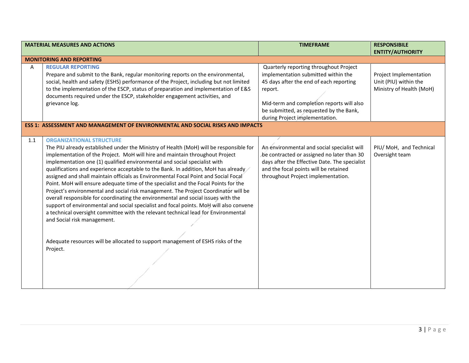| <b>MATERIAL MEASURES AND ACTIONS</b>                                                                                                                                                                                                                                                                                                                                                                                                                                                                                                                                                                                                                                                                                                                                                                                                                                                                                                                                                                                                                        | <b>TIMEFRAME</b>                                                                                                                                                                                                                                              | <b>RESPONSIBILE</b><br><b>ENTITY/AUTHORITY</b>                              |
|-------------------------------------------------------------------------------------------------------------------------------------------------------------------------------------------------------------------------------------------------------------------------------------------------------------------------------------------------------------------------------------------------------------------------------------------------------------------------------------------------------------------------------------------------------------------------------------------------------------------------------------------------------------------------------------------------------------------------------------------------------------------------------------------------------------------------------------------------------------------------------------------------------------------------------------------------------------------------------------------------------------------------------------------------------------|---------------------------------------------------------------------------------------------------------------------------------------------------------------------------------------------------------------------------------------------------------------|-----------------------------------------------------------------------------|
| <b>MONITORING AND REPORTING</b>                                                                                                                                                                                                                                                                                                                                                                                                                                                                                                                                                                                                                                                                                                                                                                                                                                                                                                                                                                                                                             |                                                                                                                                                                                                                                                               |                                                                             |
| <b>REGULAR REPORTING</b><br>A<br>Prepare and submit to the Bank, regular monitoring reports on the environmental,<br>social, health and safety (ESHS) performance of the Project, including but not limited<br>to the implementation of the ESCP, status of preparation and implementation of E&S<br>documents required under the ESCP, stakeholder engagement activities, and<br>grievance log.                                                                                                                                                                                                                                                                                                                                                                                                                                                                                                                                                                                                                                                            | Quarterly reporting throughout Project<br>implementation submitted within the<br>45 days after the end of each reporting<br>report.<br>Mid-term and completion reports will also<br>be submitted, as requested by the Bank,<br>during Project implementation. | Project Implementation<br>Unit (PIU) within the<br>Ministry of Health (MoH) |
| <b>ESS 1: ASSESSMENT AND MANAGEMENT OF ENVIRONMENTAL AND SOCIAL RISKS AND IMPACTS</b>                                                                                                                                                                                                                                                                                                                                                                                                                                                                                                                                                                                                                                                                                                                                                                                                                                                                                                                                                                       |                                                                                                                                                                                                                                                               |                                                                             |
| 1.1<br><b>ORGANIZATIONAL STRUCTURE</b><br>The PIU already established under the Ministry of Health (MoH) will be responsible for<br>implementation of the Project. MoH will hire and maintain throughout Project<br>implementation one (1) qualified environmental and social specialist with<br>qualifications and experience acceptable to the Bank. In addition, MoH has already<br>assigned and shall maintain officials as Environmental Focal Point and Social Focal<br>Point. MoH will ensure adequate time of the specialist and the Focal Points for the<br>Project's environmental and social risk management. The Project Coordinator will be<br>overall responsible for coordinating the environmental and social issues with the<br>support of environmental and social specialist and focal points. MoH will also convene<br>a technical oversight committee with the relevant technical lead for Environmental<br>and Social risk management.<br>Adequate resources will be allocated to support management of ESHS risks of the<br>Project. | An environmental and social specialist will<br>be contracted or assigned no later than 30<br>days after the Effective Date. The specialist<br>and the focal points will be retained<br>throughout Project implementation.                                     | PIU/ MoH, and Technical<br>Oversight team                                   |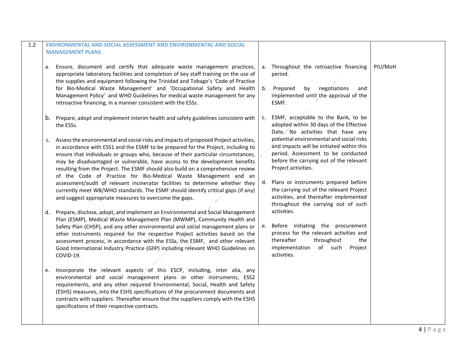| <b>ENVIRONMENTAL AND SOCIAL ASSESSMENT AND ENVIRONMENTAL AND SOCIAL</b>                                                                                                                                                                                                                                                                                                                                                                                            |                                                                                                                                                                                       |                                                                                                                                                                                               |                                                                                    |
|--------------------------------------------------------------------------------------------------------------------------------------------------------------------------------------------------------------------------------------------------------------------------------------------------------------------------------------------------------------------------------------------------------------------------------------------------------------------|---------------------------------------------------------------------------------------------------------------------------------------------------------------------------------------|-----------------------------------------------------------------------------------------------------------------------------------------------------------------------------------------------|------------------------------------------------------------------------------------|
|                                                                                                                                                                                                                                                                                                                                                                                                                                                                    |                                                                                                                                                                                       |                                                                                                                                                                                               |                                                                                    |
| а.<br>appropriate laboratory facilities and completion of key staff training on the use of<br>the supplies and equipment following the Trinidad and Tobago's 'Code of Practice                                                                                                                                                                                                                                                                                     | a <sub>z</sub>                                                                                                                                                                        | period.                                                                                                                                                                                       | PIU/MoH                                                                            |
| for Bio-Medical Waste Management' and 'Occupational Safety and Health<br>Management Policy' and WHO Guidelines for medical waste management for any<br>retroactive financing, in a manner consistent with the ESSs.                                                                                                                                                                                                                                                | b.                                                                                                                                                                                    | negotiations<br>Prepared<br>by<br>and<br>implemented until the approval of the<br>ESMF.                                                                                                       |                                                                                    |
| Prepare, adopt and implement interim health and safety guidelines consistent with<br>b.<br>the ESSs.                                                                                                                                                                                                                                                                                                                                                               | C.                                                                                                                                                                                    | ESMF, acceptable to the Bank, to be<br>adopted within 30 days of the Effective<br>Date No activities that have any                                                                            |                                                                                    |
| c. Assess the environmental and social risks and impacts of proposed Project activities,<br>in accordance with ESS1 and the ESMF to be prepared for the Project, including to<br>ensure that individuals or groups who, because of their particular circumstances,<br>may be disadvantaged or vulnerable, have access to the development benefits                                                                                                                  |                                                                                                                                                                                       | potential environmental and social risks<br>and impacts will be initiated within this<br>period. Assessment to be conducted<br>before the carrying out of the relevant<br>Project activities. |                                                                                    |
| of the Code of Practice for Bio-Medical Waste Management and an<br>assessment/audit of relevant incinerator facilities to determine whether they<br>currently meet WB/WHO standards. The ESMF should identify critical gaps (if any)<br>and suggest appropriate measures to overcome the gaps.                                                                                                                                                                     |                                                                                                                                                                                       | Plans or instruments prepared before<br>the carrying out of the relevant Project<br>activities, and thereafter implemented<br>throughout the carrying out of such                             |                                                                                    |
| Prepare, disclose, adopt, and implement an Environmental and Social Management<br>d.<br>Plan (ESMP), Medical Waste Management Plan (MWMP), Community Health and                                                                                                                                                                                                                                                                                                    |                                                                                                                                                                                       | activities.                                                                                                                                                                                   |                                                                                    |
| Safety Plan (CHSP), and any other environmental and social management plans or<br>other instruments required for the respective Project activities based on the<br>assessment process, in accordance with the ESSs, the ESMF, and other relevant<br>Good International Industry Practice (GIIP) including relevant WHO Guidelines on<br>COVID-19.                                                                                                                  |                                                                                                                                                                                       | process for the relevant activities and<br>thereafter<br>throughout<br>the<br>implementation of such<br>Project<br>activities.                                                                |                                                                                    |
| Incorporate the relevant aspects of this ESCP, including, inter alia, any<br>e.<br>environmental and social management plans or other instruments, ESS2<br>requirements, and any other required Environmental, Social, Health and Safety<br>(ESHS) measures, into the ESHS specifications of the procurement documents and<br>contracts with suppliers. Thereafter ensure that the suppliers comply with the ESHS<br>specifications of their respective contracts. |                                                                                                                                                                                       |                                                                                                                                                                                               |                                                                                    |
|                                                                                                                                                                                                                                                                                                                                                                                                                                                                    | <b>MANAGEMENT PLANS</b><br>Ensure, document and certify that adequate waste management practices,<br>resulting from the Project. The ESMF should also build on a comprehensive review |                                                                                                                                                                                               | Throughout the retroactive financing<br>d.<br>e. Before initiating the procurement |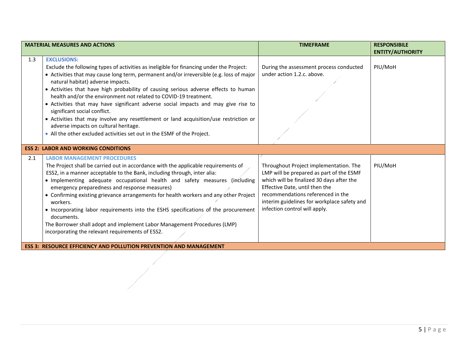|     | <b>MATERIAL MEASURES AND ACTIONS</b>                                                                                                                    | <b>TIMEFRAME</b>                                                                 | <b>RESPONSIBILE</b>     |
|-----|---------------------------------------------------------------------------------------------------------------------------------------------------------|----------------------------------------------------------------------------------|-------------------------|
|     |                                                                                                                                                         |                                                                                  | <b>ENTITY/AUTHORITY</b> |
| 1.3 | <b>EXCLUSIONS:</b>                                                                                                                                      |                                                                                  |                         |
|     | Exclude the following types of activities as ineligible for financing under the Project:                                                                | During the assessment process conducted<br>under action 1.2.c. above.            | PIU/MoH                 |
|     | • Activities that may cause long term, permanent and/or irreversible (e.g. loss of major<br>natural habitat) adverse impacts.                           |                                                                                  |                         |
|     | • Activities that have high probability of causing serious adverse effects to human<br>health and/or the environment not related to COVID-19 treatment. |                                                                                  |                         |
|     | • Activities that may have significant adverse social impacts and may give rise to<br>significant social conflict.                                      |                                                                                  |                         |
|     | • Activities that may involve any resettlement or land acquisition/use restriction or<br>adverse impacts on cultural heritage.                          |                                                                                  |                         |
|     | • All the other excluded activities set out in the ESMF of the Project.                                                                                 |                                                                                  |                         |
|     | <b>ESS 2: LABOR AND WORKING CONDITIONS</b>                                                                                                              |                                                                                  |                         |
| 2.1 | <b>LABOR MANAGEMENT PROCEDURES</b>                                                                                                                      |                                                                                  |                         |
|     | The Project shall be carried out in accordance with the applicable requirements of                                                                      | Throughout Project implementation. The                                           | PIU/MoH                 |
|     | ESS2, in a manner acceptable to the Bank, including through, inter alia:                                                                                | LMP will be prepared as part of the ESMF                                         |                         |
|     | . Implementing adequate occupational health and safety measures (including<br>emergency preparedness and response measures)                             | which will be finalized 30 days after the<br>Effective Date, until then the      |                         |
|     | • Confirming existing grievance arrangements for health workers and any other Project<br>workers.                                                       | recommendations referenced in the<br>interim guidelines for workplace safety and |                         |
|     | • Incorporating labor requirements into the ESHS specifications of the procurement<br>documents.                                                        | infection control will apply.                                                    |                         |
|     | The Borrower shall adopt and implement Labor Management Procedures (LMP)                                                                                |                                                                                  |                         |
|     | incorporating the relevant requirements of ESS2.                                                                                                        |                                                                                  |                         |
|     | <b>ESS 3: RESOURCE EFFICIENCY AND POLLUTION PREVENTION AND MANAGEMENT</b>                                                                               |                                                                                  |                         |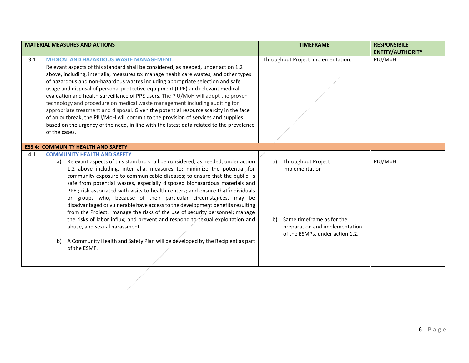|     | <b>MATERIAL MEASURES AND ACTIONS</b>                                                                                                                                                                                                                                                                                                                                                                                                                                                                                                                                                                                                                                                                                                                                                                                                                                                                            | <b>TIMEFRAME</b>                                                                                                                                   | <b>RESPONSIBILE</b><br><b>ENTITY/AUTHORITY</b> |
|-----|-----------------------------------------------------------------------------------------------------------------------------------------------------------------------------------------------------------------------------------------------------------------------------------------------------------------------------------------------------------------------------------------------------------------------------------------------------------------------------------------------------------------------------------------------------------------------------------------------------------------------------------------------------------------------------------------------------------------------------------------------------------------------------------------------------------------------------------------------------------------------------------------------------------------|----------------------------------------------------------------------------------------------------------------------------------------------------|------------------------------------------------|
| 3.1 | <b>MEDICAL AND HAZARDOUS WASTE MANAGEMENT:</b><br>Relevant aspects of this standard shall be considered, as needed, under action 1.2<br>above, including, inter alia, measures to: manage health care wastes, and other types<br>of hazardous and non-hazardous wastes including appropriate selection and safe<br>usage and disposal of personal protective equipment (PPE) and relevant medical<br>evaluation and health surveillance of PPE users. The PIU/MoH will adopt the proven<br>technology and procedure on medical waste management including auditing for<br>appropriate treatment and disposal. Given the potential resource scarcity in the face<br>of an outbreak, the PIU/MoH will commit to the provision of services and supplies<br>based on the urgency of the need, in line with the latest data related to the prevalence<br>of the cases.                                               | Throughout Project implementation.                                                                                                                 | PIU/MoH                                        |
|     | <b>ESS 4: COMMUNITY HEALTH AND SAFETY</b>                                                                                                                                                                                                                                                                                                                                                                                                                                                                                                                                                                                                                                                                                                                                                                                                                                                                       |                                                                                                                                                    |                                                |
| 4.1 | <b>COMMUNITY HEALTH AND SAFETY</b><br>a) Relevant aspects of this standard shall be considered, as needed, under action<br>1.2 above including, inter alia, measures to: minimize the potential for<br>community exposure to communicable diseases; to ensure that the public is<br>safe from potential wastes, especially disposed biohazardous materials and<br>PPE.; risk associated with visits to health centers; and ensure that individuals<br>or groups who, because of their particular circumstances, may be<br>disadvantaged or vulnerable have access to the development benefits resulting<br>from the Project; manage the risks of the use of security personnel; manage<br>the risks of labor influx; and prevent and respond to sexual exploitation and<br>abuse, and sexual harassment.<br>A Community Health and Safety Plan will be developed by the Recipient as part<br>b)<br>of the ESMF. | Throughout Project<br>a)<br>implementation<br>Same timeframe as for the<br>b)<br>preparation and implementation<br>of the ESMPs, under action 1.2. | PIU/MoH                                        |

 $\overline{\phantom{a}}$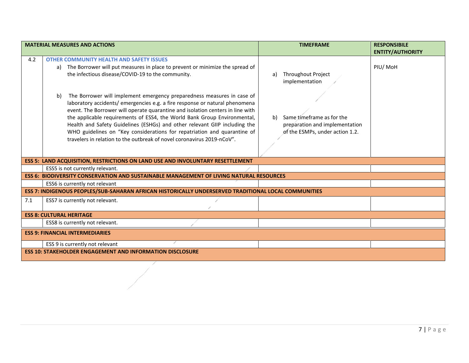|                                 | <b>MATERIAL MEASURES AND ACTIONS</b>                                                                 | <b>TIMEFRAME</b>                | <b>RESPONSIBILE</b>     |  |
|---------------------------------|------------------------------------------------------------------------------------------------------|---------------------------------|-------------------------|--|
|                                 |                                                                                                      |                                 | <b>ENTITY/AUTHORITY</b> |  |
| 4.2                             | <b>OTHER COMMUNITY HEALTH AND SAFETY ISSUES</b>                                                      |                                 |                         |  |
|                                 | a) The Borrower will put measures in place to prevent or minimize the spread of                      |                                 | PIU/MoH                 |  |
|                                 | the infectious disease/COVID-19 to the community.                                                    | <b>Throughout Project</b><br>a) |                         |  |
|                                 |                                                                                                      | implementation                  |                         |  |
|                                 |                                                                                                      |                                 |                         |  |
|                                 | b)<br>The Borrower will implement emergency preparedness measures in case of                         |                                 |                         |  |
|                                 | laboratory accidents/ emergencies e.g. a fire response or natural phenomena                          |                                 |                         |  |
|                                 | event. The Borrower will operate quarantine and isolation centers in line with                       |                                 |                         |  |
|                                 | the applicable requirements of ESS4, the World Bank Group Environmental,                             | Same timeframe as for the<br>b) |                         |  |
|                                 | Health and Safety Guidelines (ESHGs) and other relevant GIIP including the                           | preparation and implementation  |                         |  |
|                                 | WHO guidelines on "Key considerations for repatriation and quarantine of                             | of the ESMPs, under action 1.2. |                         |  |
|                                 | travelers in relation to the outbreak of novel coronavirus 2019-nCoV".                               |                                 |                         |  |
|                                 |                                                                                                      |                                 |                         |  |
|                                 | <b>ESS 5: LAND ACQUISITION, RESTRICTIONS ON LAND USE AND INVOLUNTARY RESETTLEMENT</b>                |                                 |                         |  |
|                                 | ESS5 is not currently relevant.                                                                      |                                 |                         |  |
|                                 | <b>ESS 6: BIODIVERSITY CONSERVATION AND SUSTAINABLE MANAGEMENT OF LIVING NATURAL RESOURCES</b>       |                                 |                         |  |
|                                 | ESS6 is currently not relevant                                                                       |                                 |                         |  |
|                                 | ESS 7: INDIGENOUS PEOPLES/SUB-SAHARAN AFRICAN HISTORICALLY UNDERSERVED TRADITIONAL LOCAL COMMUNITIES |                                 |                         |  |
| 7.1                             | ESS7 is currently not relevant.                                                                      |                                 |                         |  |
|                                 |                                                                                                      |                                 |                         |  |
| <b>ESS 8: CULTURAL HERITAGE</b> |                                                                                                      |                                 |                         |  |
|                                 | ESS8 is currently not relevant.                                                                      |                                 |                         |  |
|                                 | <b>ESS 9: FINANCIAL INTERMEDIARIES</b>                                                               |                                 |                         |  |
|                                 | ESS 9 is currently not relevant                                                                      |                                 |                         |  |
|                                 | <b>ESS 10: STAKEHOLDER ENGAGEMENT AND INFORMATION DISCLOSURE</b>                                     |                                 |                         |  |

1